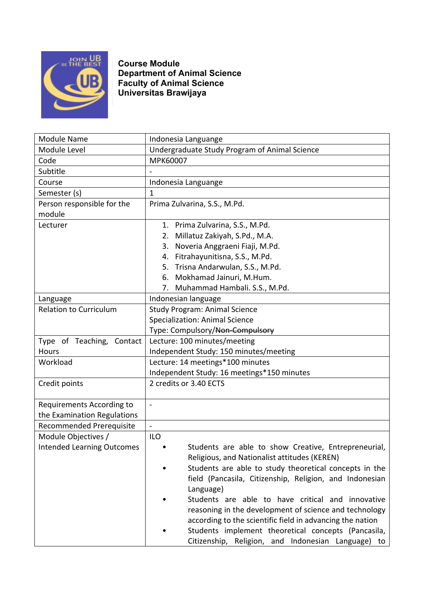

**Course Module Department of Animal Science Faculty of Animal Science Universitas Brawijaya**

| <b>Module Name</b>                | Indonesia Languange                                       |
|-----------------------------------|-----------------------------------------------------------|
| Module Level                      | Undergraduate Study Program of Animal Science             |
| Code                              | MPK60007                                                  |
| Subtitle                          |                                                           |
| Course                            | Indonesia Languange                                       |
| Semester (s)                      | 1                                                         |
| Person responsible for the        | Prima Zulvarina, S.S., M.Pd.                              |
| module                            |                                                           |
| Lecturer                          | 1. Prima Zulvarina, S.S., M.Pd.                           |
|                                   | Millatuz Zakiyah, S.Pd., M.A.<br>2.                       |
|                                   | Noveria Anggraeni Fiaji, M.Pd.<br>3.                      |
|                                   | Fitrahayunitisna, S.S., M.Pd.<br>4.                       |
|                                   | 5. Trisna Andarwulan, S.S., M.Pd.                         |
|                                   | 6. Mokhamad Jainuri, M.Hum.                               |
|                                   | Muhammad Hambali. S.S., M.Pd.<br>7.                       |
| Language                          | Indonesian language                                       |
| <b>Relation to Curriculum</b>     | <b>Study Program: Animal Science</b>                      |
|                                   | <b>Specialization: Animal Science</b>                     |
|                                   | Type: Compulsory/Non-Compulsory                           |
| Type of Teaching, Contact         | Lecture: 100 minutes/meeting                              |
| Hours                             | Independent Study: 150 minutes/meeting                    |
| Workload                          | Lecture: 14 meetings*100 minutes                          |
|                                   | Independent Study: 16 meetings*150 minutes                |
| Credit points                     | 2 credits or 3.40 ECTS                                    |
| Requirements According to         | $\blacksquare$                                            |
| the Examination Regulations       |                                                           |
| <b>Recommended Prerequisite</b>   | $\overline{a}$                                            |
| Module Objectives /               | <b>ILO</b>                                                |
| <b>Intended Learning Outcomes</b> | Students are able to show Creative, Entrepreneurial,      |
|                                   | Religious, and Nationalist attitudes (KEREN)              |
|                                   | Students are able to study theoretical concepts in the    |
|                                   | field (Pancasila, Citizenship, Religion, and Indonesian   |
|                                   | Language)                                                 |
|                                   | Students are able to have critical and innovative         |
|                                   | reasoning in the development of science and technology    |
|                                   | according to the scientific field in advancing the nation |
|                                   | Students implement theoretical concepts (Pancasila,       |
|                                   | Citizenship, Religion, and Indonesian Language) to        |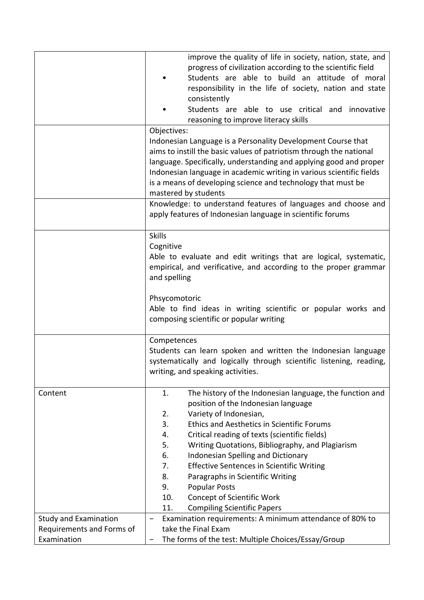|                              | improve the quality of life in society, nation, state, and<br>progress of civilization according to the scientific field<br>Students are able to build an attitude of moral<br>responsibility in the life of society, nation and state<br>consistently<br>Students are able to use critical and innovative<br>reasoning to improve literacy skills<br>Objectives:                                                                                                                                                                                                                        |
|------------------------------|------------------------------------------------------------------------------------------------------------------------------------------------------------------------------------------------------------------------------------------------------------------------------------------------------------------------------------------------------------------------------------------------------------------------------------------------------------------------------------------------------------------------------------------------------------------------------------------|
|                              | Indonesian Language is a Personality Development Course that<br>aims to instill the basic values of patriotism through the national<br>language. Specifically, understanding and applying good and proper<br>Indonesian language in academic writing in various scientific fields<br>is a means of developing science and technology that must be<br>mastered by students                                                                                                                                                                                                                |
|                              | Knowledge: to understand features of languages and choose and<br>apply features of Indonesian language in scientific forums                                                                                                                                                                                                                                                                                                                                                                                                                                                              |
|                              | <b>Skills</b><br>Cognitive<br>Able to evaluate and edit writings that are logical, systematic,<br>empirical, and verificative, and according to the proper grammar<br>and spelling                                                                                                                                                                                                                                                                                                                                                                                                       |
|                              | Phsycomotoric<br>Able to find ideas in writing scientific or popular works and<br>composing scientific or popular writing                                                                                                                                                                                                                                                                                                                                                                                                                                                                |
|                              | Competences<br>Students can learn spoken and written the Indonesian language<br>systematically and logically through scientific listening, reading,<br>writing, and speaking activities.                                                                                                                                                                                                                                                                                                                                                                                                 |
| Content                      | The history of the Indonesian language, the function and<br>1.<br>position of the Indonesian language<br>Variety of Indonesian,<br>2.<br>3.<br><b>Ethics and Aesthetics in Scientific Forums</b><br>Critical reading of texts (scientific fields)<br>4.<br>5.<br>Writing Quotations, Bibliography, and Plagiarism<br>6.<br>Indonesian Spelling and Dictionary<br>7.<br><b>Effective Sentences in Scientific Writing</b><br>8.<br>Paragraphs in Scientific Writing<br><b>Popular Posts</b><br>9.<br>10.<br><b>Concept of Scientific Work</b><br><b>Compiling Scientific Papers</b><br>11. |
| <b>Study and Examination</b> | Examination requirements: A minimum attendance of 80% to<br>—                                                                                                                                                                                                                                                                                                                                                                                                                                                                                                                            |
| Requirements and Forms of    | take the Final Exam                                                                                                                                                                                                                                                                                                                                                                                                                                                                                                                                                                      |
| Examination                  | The forms of the test: Multiple Choices/Essay/Group                                                                                                                                                                                                                                                                                                                                                                                                                                                                                                                                      |